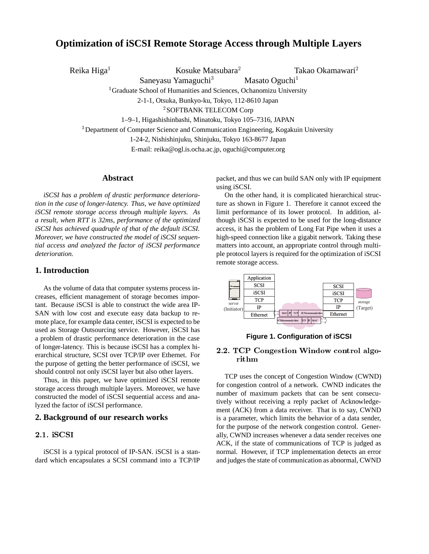# **Optimization of iSCSI Remote Storage Access through Multiple Layers**

Reika Higa

Kosuke Matsubara

Takao Okamawari

Saneyasu Yamaguchi<sup>3</sup> <sup>1</sup> Graduate School of Humanities and Sciences, Ochanomizu University

Masato Oguchi<sup>1</sup>

2-1-1, Otsuka, Bunkyo-ku, Tokyo, 112-8610 Japan

<sup>2</sup>SOFTBANK TELECOM Corp

1–9–1, Higashishinbashi, Minatoku, Tokyo 105–7316, JAPAN

<sup>3</sup>Department of Computer Science and Communication Engineering, Kogakuin University

1-24-2, Nishishinjuku, Shinjuku, Tokyo 163-8677 Japan

E-mail: reika@ogl.is.ocha.ac.jp, oguchi@computer.org

# **Abstract**

*iSCSI has a problem of drastic performance deterioration in the case of longer-latency. Thus, we have optimized iSCSI remote storage access through multiple layers. As a result, when RTT is 32ms, performance of the optimized iSCSI has achieved quadruple of that of the default iSCSI. Moreover, we have constructed the model of iSCSI sequential access and analyzed the factor of iSCSI performance deterioration.*

# **1. Introduction**

As the volume of data that computer systems process increases, efficient management of storage becomes important. Because iSCSI is able to construct the wide area IP-SAN with low cost and execute easy data backup to remote place, for example data center, iSCSI is expected to be used as Storage Outsourcing service. However, iSCSI has a problem of drastic performance deterioration in the case of longer-latency. This is because iSCSI has a complex hierarchical structure, SCSI over TCP/IP over Ethernet. For the purpose of getting the better performance of iSCSI, we should control not only iSCSI layer but also other layers.

Thus, in this paper, we have optimized iSCSI remote storage access through multiple layers. Moreover, we have constructed the model of iSCSI sequential access and analyzed the factor of iSCSI performance.

## **2. Background of our research works**

iSCSI is a typical protocol of IP-SAN. iSCSI is a standard which encapsulates a SCSI command into a TCP/IP packet, and thus we can build SAN only with IP equipment using iSCSI.

On the other hand, it is complicated hierarchical structure as shown in Figure 1. Therefore it cannot exceed the limit performance of its lower protocol. In addition, although iSCSI is expected to be used for the long-distance access, it has the problem of Long Fat Pipe when it uses a high-speed connection like a gigabit network. Taking these matters into account, an appropriate control through multiple protocol layers is required for the optimization of iSCSI remote storage access.



**Figure 1. Configuration of iSCSI**

# $\blacksquare$ .  $\blacksquare$   $\blacksquare$   $\blacksquare$   $\blacksquare$   $\blacksquare$   $\blacksquare$   $\blacksquare$   $\blacksquare$   $\blacksquare$   $\blacksquare$   $\blacksquare$   $\blacksquare$   $\blacksquare$   $\blacksquare$   $\blacksquare$   $\blacksquare$   $\blacksquare$   $\blacksquare$   $\blacksquare$   $\blacksquare$   $\blacksquare$   $\blacksquare$   $\blacksquare$   $\blacksquare$   $\blacksquare$   $\blacksquare$   $\blacksquare$   $\blacksquare$   $\blacksquare$   $\blacksquare$   $\bl$ rithm

TCP uses the concept of Congestion Window (CWND) for congestion control of a network. CWND indicates the number of maximum packets that can be sent consecutively without receiving a reply packet of Acknowledgement (ACK) from a data receiver. That is to say, CWND is a parameter, which limits the behavior of a data sender, for the purpose of the network congestion control. Generally, CWND increases whenever a data sender receives one ACK, if the state of communications of TCP is judged as normal. However, if TCP implementation detects an error and judges the state of communication as abnormal, CWND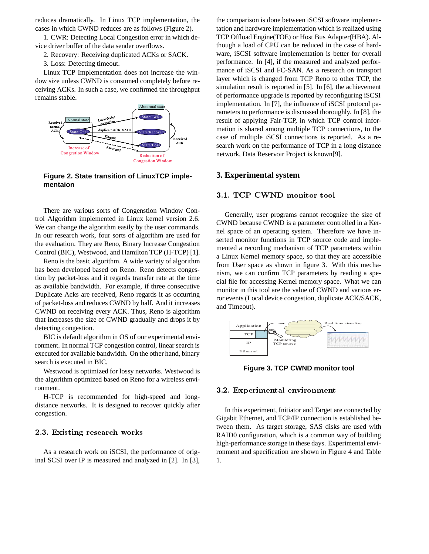reduces dramatically. In Linux TCP implementation, the cases in which CWND reduces are as follows (Figure 2).

1. CWR: Detecting Local Congestion error in which device driver buffer of the data sender overflows.

- 2. Recovery: Receiving duplicated ACKs or SACK.
- 3. Loss: Detecting timeout.

Linux TCP Implementation does not increase the window size unless CWND is consumed completely before receiving ACKs. In such a case, we confirmed the throughput remains stable.



**Figure 2. State transition of LinuxTCP implementaion**

There are various sorts of Congenstion Window Control Algorithm implemented in Linux kernel version 2.6. We can change the algorithm easily by the user commands. In our research work, four sorts of algorithm are used for the evaluation. They are Reno, Binary Increase Congestion Control (BIC), Westwood, and Hamilton TCP (H-TCP) [1].

Reno is the basic algorithm. A wide variety of algorithm has been developed based on Reno. Reno detects congestion by packet-loss and it regards transfer rate at the time as available bandwidth. For example, if three consecutive Duplicate Acks are received, Reno regards it as occurring of packet-loss and reduces CWND by half. And it increases CWND on receiving every ACK. Thus, Reno is algorithm that increases the size of CWND gradually and drops it by detecting congestion.

BIC is default algorithm in OS of our experimental environment. In normal TCP congestion control, linear search is executed for available bandwidth. On the other hand, binary search is executed in BIC.

Westwood is optimized for lossy networks. Westwood is the algorithm optimized based on Reno for a wireless environment.

H-TCP is recommended for high-speed and longdistance networks. It is designed to recover quickly after congestion.

# 

As a research work on iSCSI, the performance of original SCSI over IP is measured and analyzed in [2]. In [3], the comparison is done between iSCSI software implementation and hardware implementation which is realized using TCP Offload Engine(TOE) or Host Bus Adapter(HBA). Although a load of CPU can be reduced in the case of hardware, iSCSI software implementation is better for overall performance. In [4], if the measured and analyzed performance of iSCSI and FC-SAN. As a research on transport layer which is changed from TCP Reno to other TCP, the simulation result is reported in [5]. In [6], the achievement of performance upgrade is reported by reconfiguring iSCSI implementation. In [7], the influence of iSCSI protocol parameters to performance is discussed thoroughly. In [8], the result of applying Fair-TCP, in which TCP control information is shared among multiple TCP connections, to the case of multiple iSCSI connections is reported. As a research work on the performance of TCP in a long distance network, Data Reservoir Project is known[9].

# **3. Experimental system**

Generally, user programs cannot recognize the size of CWND because CWND is a parameter controlled in a Kernel space of an operating system. Therefore we have inserted monitor functions in TCP source code and implemented a recording mechanism of TCP parameters within a Linux Kernel memory space, so that they are accessible from User space as shown in figure 3. With this mechanism, we can confirm TCP parameters by reading a special file for accessing Kernel memory space. What we can monitor in this tool are the value of CWND and various error events (Local device congestion, duplicate ACK/SACK, and Timeout).



**Figure 3. TCP CWND monitor tool**

#### 

In this experiment, Initiator and Target are connected by Gigabit Ethernet, and TCP/IP connection is established between them. As target storage, SAS disks are used with RAID0 configuration, which is a common way of building high-performance storage in these days. Experimental environment and specification are shown in Figure 4 and Table 1.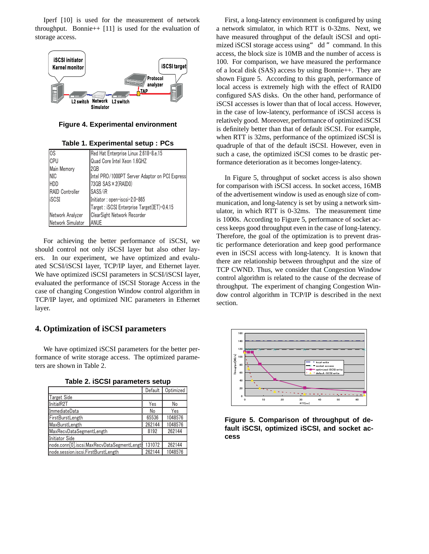Iperf [10] is used for the measurement of network throughput. Bonnie++  $[11]$  is used for the evaluation of storage access.



**Figure 4. Experimental environment**

**Table 1. Experimental setup : PCs**

| los                    | Red Hat Enterprise Linux 2.618-8.e.15          |  |  |  |
|------------------------|------------------------------------------------|--|--|--|
| <b>CPU</b>             | Quad Core Intel Xeon 1.6GHZ                    |  |  |  |
| Main Memory            | l2GB                                           |  |  |  |
| <b>INIC</b>            | Intel PRO/1000PT Server Adaptor on PCI Express |  |  |  |
| <b>HDD</b>             | 73GB SAS × 2(RAID0)                            |  |  |  |
| <b>RAID Controller</b> | SAS5/iR                                        |  |  |  |
| iSCSI                  | Initiator: open-iscsi-2.0-865                  |  |  |  |
|                        | Target: iSCSI Enterprise Target(IET)-0.4.15    |  |  |  |
| Network Analyzer       | ClearSight Network Recorder                    |  |  |  |
| Network Simulator      | <b>ANUE</b>                                    |  |  |  |

For achieving the better performance of iSCSI, we should control not only iSCSI layer but also other layers. In our experiment, we have optimized and evaluated SCSI/iSCSI layer, TCP/IP layer, and Ethernet layer. We have optimized iSCSI parameters in SCSI/iSCSI layer, evaluated the performance of iSCSI Storage Access in the case of changing Congestion Window control algorithm in TCP/IP layer, and optimized NIC parameters in Ethernet layer.

# **4. Optimization of iSCSI parameters**

We have optimized iSCSI parameters for the better performance of write storage access. The optimized parameters are shown in Table 2.

|                                             | Default | Optimized |
|---------------------------------------------|---------|-----------|
| <b>Target Side</b>                          |         |           |
| InitialR2T                                  | Yes     | No        |
| ImmediateData                               | No      | Yes       |
| FirstBurstLength                            | 65536   | 1048576   |
| MaxBurstLength                              | 262144  | 1048576   |
| MaxRecvDataSegmentLength                    | 8192    | 262144    |
| Initiator Side                              |         |           |
| node.conn[0].iscsi.MaxRecvDataSegmentLengtl | 131072  | 262144    |
| node.session.iscsi.FirstBurstLength         | 262144  | 1048576   |

|  |  | Table 2. iSCSI parameters setup |  |
|--|--|---------------------------------|--|
|--|--|---------------------------------|--|

First, a long-latency environment is configured by using a network simulator, in which RTT is 0-32ms. Next, we have measured throughput of the default iSCSI and optimized iSCSI storage access using" dd" command. In this access, the block size is 10MB and the number of access is 100. For comparison, we have measured the performance of a local disk (SAS) access by using Bonnie++. They are shown Figure 5. According to this graph, performance of local access is extremely high with the effect of RAID0 configured SAS disks. On the other hand, performance of iSCSI accesses is lower than that of local access. However, in the case of low-latency, performance of iSCSI access is relatively good. Moreover, performance of optimized iSCSI is definitely better than that of default iSCSI. For example, when RTT is 32ms, performance of the optimized iSCSI is quadruple of that of the default iSCSI. However, even in such a case, the optimized iSCSI comes to be drastic performance deterioration as it becomes longer-latency.

In Figure 5, throughput of socket access is also shown for comparison with iSCSI access. In socket access, 16MB of the advertisement window is used as enough size of communication, and long-latency is set by using a network simulator, in which RTT is 0-32ms. The measurement time is 1000s. According to Figure 5, performance of socket access keeps good throughput even in the case of long-latency. Therefore, the goal of the optimization is to prevent drastic performance deterioration and keep good performance even in iSCSI access with long-latency. It is known that there are relationship between throughput and the size of TCP CWND. Thus, we consider that Congestion Window control algorithm is related to the cause of the decrease of throughput. The experiment of changing Congestion Window control algorithm in TCP/IP is described in the next section.



**Figure 5. Comparison of throughput of default iSCSI, optimized iSCSI, and socket access**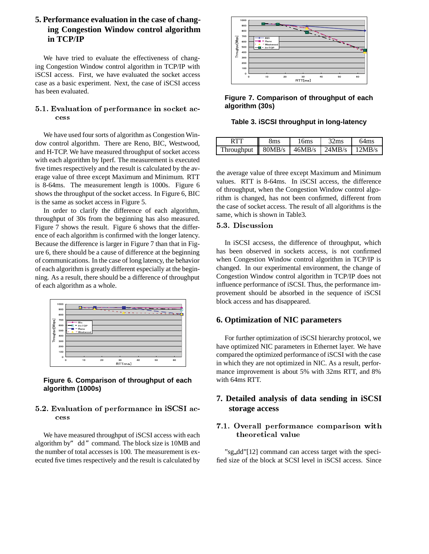# **5. Performance evaluation in the case of changing Congestion Window control algorithm in TCP/IP**

We have tried to evaluate the effectiveness of changing Congestion Window control algorithm in TCP/IP with iSCSI access. First, we have evaluated the socket access case as a basic experiment. Next, the case of iSCSI access has been evaluated.

# !- " # #  
  cess

We have used four sorts of algorithm as Congestion Window control algorithm. There are Reno, BIC, Westwood, and H-TCP. We have measured throughput of socket access with each algorithm by Iperf. The measurement is executed five times respectively and the result is calculated by the average value of three except Maximum and Minimum. RTT is 8-64ms. The measurement length is 1000s. Figure 6 shows the throughput of the socket access. In Figure 6, BIC is the same as socket access in Figure 5.

In order to clarify the difference of each algorithm, throughput of 30s from the beginning has also measured. Figure 7 shows the result. Figure 6 shows that the difference of each algorithm is confirmed with the longer latency. Because the difference is larger in Figure 7 than that in Figure 6, there should be a cause of difference at the beginning of communications. In the case of long latency, the behavior of each algorithm is greatly different especially at the beginning. As a result, there should be a difference of throughput of each algorithm as a whole.



**Figure 6. Comparison of throughput of each algorithm (1000s)**

# ! " # #

We have measured throughput of iSCSI access with each algorithm by" dd" command. The block size is 10MB and the number of total accesses is 100. The measurement is executed five times respectively and the result is calculated by



**Figure 7. Comparison of throughput of each algorithm (30s)**

**Table 3. iSCSI throughput in long-latency**

|                               | 8ms | 16ms                    | 32ms | 64 <sub>ms</sub> |
|-------------------------------|-----|-------------------------|------|------------------|
| Throughput $\parallel$ 80MB/s |     | $146MB/s$ 24MB/s 12MB/s |      |                  |

the average value of three except Maximum and Minimum values. RTT is 8-64ms. In iSCSI access, the difference of throughput, when the Congestion Window control algorithm is changed, has not been confirmed, different from the case of socket access. The result of all algorithms is the same, which is shown in Table3.

# 5.3. Discussion

In iSCSI accsess, the difference of throughput, which has been observed in sockets access, is not confirmed when Congestion Window control algorithm in TCP/IP is changed. In our experimental environment, the change of Congestion Window control algorithm in TCP/IP does not influence performance of iSCSI. Thus, the performance improvement should be absorbed in the sequence of iSCSI block access and has disappeared.

# **6. Optimization of NIC parameters**

For further optimization of iSCSI hierarchy protocol, we have optimized NIC parameters in Ethernet layer. We have compared the optimized performance of iSCSI with the case in which they are not optimized in NIC. As a result, performance improvement is about 5% with 32ms RTT, and 8% with 64ms RTT.

# **7. Detailed analysis of data sending in iSCSI storage access**

# $\blacksquare$  . The contract of the contract of the contract of the contract of the contract of the contract of the contract of the contract of the contract of the contract of the contract of the contract of the contract of the theoretical value

"sg dd"[12] command can access target with the specified size of the block at SCSI level in iSCSI access. Since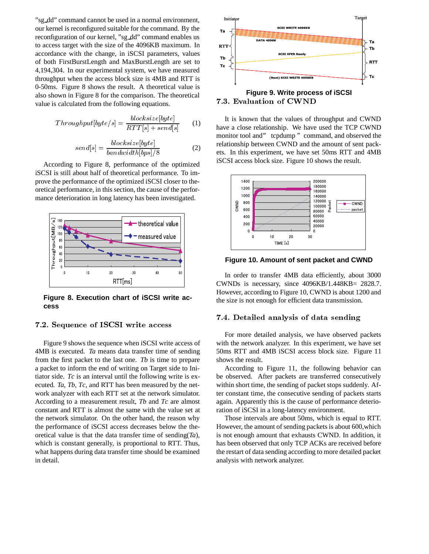"sg dd" command cannot be used in a normal environment, our kernel is reconfigured suitable for the command. By the reconfiguration of our kernel, "sg dd" command enables us to access target with the size of the 4096KB maximum. In accordance with the change, in iSCSI parameters, values of both FirstBurstLength and MaxBurstLength are set to 4,194,304. In our experimental system, we have measured throughput when the access block size is 4MB and RTT is 0-50ms. Figure 8 shows the result. A theoretical value is also shown in Figure 8 for the comparison. The theoretical value is calculated from the following equations.

$$
Throughout[byte/s] = \frac{blocksize[byte]}{RTT[s] + send[s]} \tag{1}
$$

$$
send[s] = \frac{blocksize[byte]}{bandwidth[bps]/8}
$$
 (2)

According to Figure 8, performance of the optimized iSCSI is still about half of theoretical performance. To improve the performance of the optimized iSCSI closer to theoretical performance, in this section, the cause of the performance deterioration in long latency has been investigated.



**Figure 8. Execution chart of iSCSI write access**

#### \$ &"  #

Figure 9 shows the sequence when iSCSI write access of 4MB is executed. *Ta* means data transfer time of sending from the first packet to the last one. *Tb* is time to prepare a packet to inform the end of writing on Target side to Initiator side. *Tc* is an interval until the following write is executed. *Ta*, *Tb*, *Tc*, and RTT has been measured by the network analyzer with each RTT set at the network simulator. According to a measurement result, *Tb* and *Tc* are almost constant and RTT is almost the same with the value set at the network simulator. On the other hand, the reason why the performance of iSCSI access decreases below the theoretical value is that the data transfer time of sending(*Ta*), which is constant generally, is proportional to RTT. Thus, what happens during data transfer time should be examined in detail.



It is known that the values of throughput and CWND have a close relationship. We have used the TCP CWND monitor tool and" tcpdump" command, and observed the relationship between CWND and the amount of sent packets. In this experiment, we have set 50ms RTT and 4MB iSCSI access block size. Figure 10 shows the result.



**Figure 10. Amount of sent packet and CWND**

In order to transfer 4MB data efficiently, about 3000 CWNDs is necessary, since 4096KB/1.448KB= 2828.7. However, according to Figure 10, CWND is about 1200 and the size is not enough for efficient data transmission.

#### 7.4. Detailed analysis of data sending

For more detailed analysis, we have observed packets with the network analyzer. In this experiment, we have set 50ms RTT and 4MB iSCSI access block size. Figure 11 shows the result.

According to Figure 11, the following behavior can be observed. After packets are transferred consecutively within short time, the sending of packet stops suddenly. After constant time, the consecutive sending of packets starts again. Apparently this is the cause of performance deterioration of iSCSI in a long-latency environment.

Those intervals are about 50ms, which is equal to RTT. However, the amount of sending packets is about 600,which is not enough amount that exhausts CWND. In addition, it has been observed that only TCP ACKs are received before the restart of data sending according to more detailed packet analysis with network analyzer.